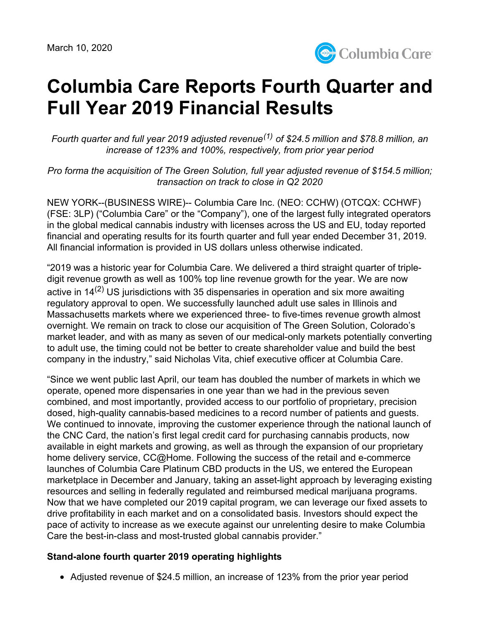

# **Columbia Care Reports Fourth Quarter and Full Year 2019 Financial Results**

*Fourth quarter and full year 2019 adjusted revenue (1) of \$24.5 million and \$78.8 million, an increase of 123% and 100%, respectively, from prior year period*

*Pro forma the acquisition of The Green Solution, full year adjusted revenue of \$154.5 million; transaction on track to close in Q2 2020*

NEW YORK--(BUSINESS WIRE)-- Columbia Care Inc. (NEO: CCHW) (OTCQX: CCHWF) (FSE: 3LP) ("Columbia Care" or the "Company"), one of the largest fully integrated operators in the global medical cannabis industry with licenses across the US and EU, today reported financial and operating results for its fourth quarter and full year ended December 31, 2019. All financial information is provided in US dollars unless otherwise indicated.

"2019 was a historic year for Columbia Care. We delivered a third straight quarter of tripledigit revenue growth as well as 100% top line revenue growth for the year. We are now active in 14<sup>(2)</sup> US jurisdictions with 35 dispensaries in operation and six more awaiting regulatory approval to open. We successfully launched adult use sales in Illinois and Massachusetts markets where we experienced three- to five-times revenue growth almost overnight. We remain on track to close our acquisition of The Green Solution, Colorado's market leader, and with as many as seven of our medical-only markets potentially converting to adult use, the timing could not be better to create shareholder value and build the best company in the industry," said Nicholas Vita, chief executive officer at Columbia Care.

"Since we went public last April, our team has doubled the number of markets in which we operate, opened more dispensaries in one year than we had in the previous seven combined, and most importantly, provided access to our portfolio of proprietary, precision dosed, high-quality cannabis-based medicines to a record number of patients and guests. We continued to innovate, improving the customer experience through the national launch of the CNC Card, the nation's first legal credit card for purchasing cannabis products, now available in eight markets and growing, as well as through the expansion of our proprietary home delivery service, CC@Home. Following the success of the retail and e-commerce launches of Columbia Care Platinum CBD products in the US, we entered the European marketplace in December and January, taking an asset-light approach by leveraging existing resources and selling in federally regulated and reimbursed medical marijuana programs. Now that we have completed our 2019 capital program, we can leverage our fixed assets to drive profitability in each market and on a consolidated basis. Investors should expect the pace of activity to increase as we execute against our unrelenting desire to make Columbia Care the best-in-class and most-trusted global cannabis provider."

#### **Stand-alone fourth quarter 2019 operating highlights**

Adjusted revenue of \$24.5 million, an increase of 123% from the prior year period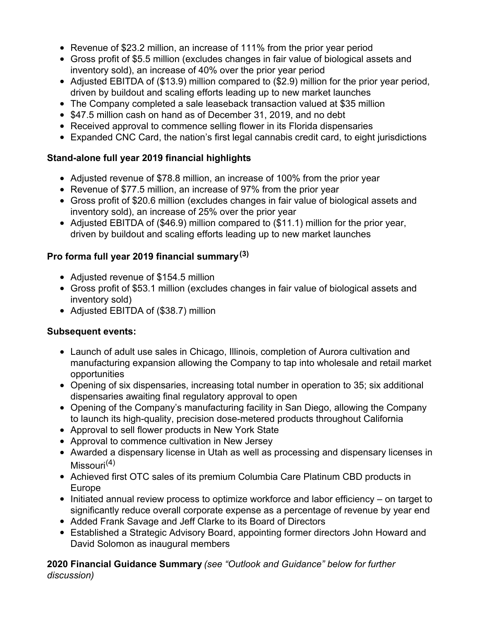- Revenue of \$23.2 million, an increase of 111% from the prior year period
- Gross profit of \$5.5 million (excludes changes in fair value of biological assets and inventory sold), an increase of 40% over the prior year period
- Adjusted EBITDA of (\$13.9) million compared to (\$2.9) million for the prior year period, driven by buildout and scaling efforts leading up to new market launches
- The Company completed a sale leaseback transaction valued at \$35 million
- \$47.5 million cash on hand as of December 31, 2019, and no debt
- Received approval to commence selling flower in its Florida dispensaries
- Expanded CNC Card, the nation's first legal cannabis credit card, to eight jurisdictions

# **Stand-alone full year 2019 financial highlights**

- Adjusted revenue of \$78.8 million, an increase of 100% from the prior year
- Revenue of \$77.5 million, an increase of 97% from the prior year
- Gross profit of \$20.6 million (excludes changes in fair value of biological assets and inventory sold), an increase of 25% over the prior year
- Adjusted EBITDA of (\$46.9) million compared to (\$11.1) million for the prior year, driven by buildout and scaling efforts leading up to new market launches

# **Pro forma full year 2019 financial summary (3)**

- Adjusted revenue of \$154.5 million
- Gross profit of \$53.1 million (excludes changes in fair value of biological assets and inventory sold)
- Adjusted EBITDA of (\$38.7) million

# **Subsequent events:**

- Launch of adult use sales in Chicago, Illinois, completion of Aurora cultivation and manufacturing expansion allowing the Company to tap into wholesale and retail market opportunities
- Opening of six dispensaries, increasing total number in operation to 35; six additional dispensaries awaiting final regulatory approval to open
- Opening of the Company's manufacturing facility in San Diego, allowing the Company to launch its high-quality, precision dose-metered products throughout California
- Approval to sell flower products in New York State
- Approval to commence cultivation in New Jersey
- Awarded a dispensary license in Utah as well as processing and dispensary licenses in Missouri (4)
- Achieved first OTC sales of its premium Columbia Care Platinum CBD products in Europe
- $\bullet$  Initiated annual review process to optimize workforce and labor efficiency on target to significantly reduce overall corporate expense as a percentage of revenue by year end
- Added Frank Savage and Jeff Clarke to its Board of Directors
- Established a Strategic Advisory Board, appointing former directors John Howard and David Solomon as inaugural members

**2020 Financial Guidance Summary** *(see "Outlook and Guidance" below for further discussion)*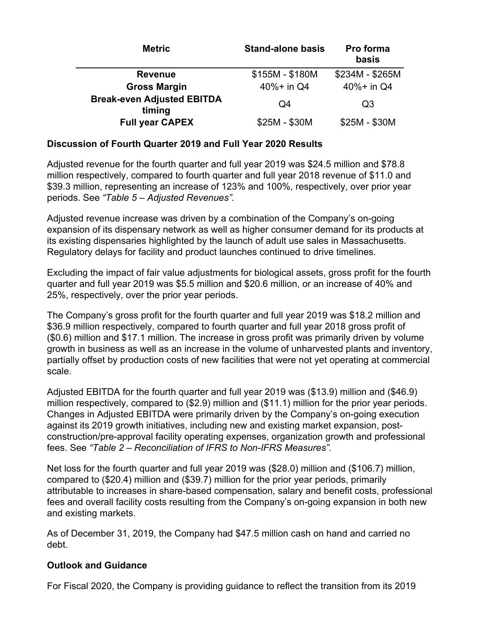| <b>Metric</b>                               | <b>Stand-alone basis</b> | Pro forma<br>basis |
|---------------------------------------------|--------------------------|--------------------|
| <b>Revenue</b>                              | \$155M - \$180M          | \$234M - \$265M    |
| <b>Gross Margin</b>                         | $40\% + in Q4$           | 40%+ in Q4         |
| <b>Break-even Adjusted EBITDA</b><br>timing | Q4                       | Q3                 |
| <b>Full year CAPEX</b>                      | $$25M - $30M$            | \$25M - \$30M      |

#### **Discussion of Fourth Quarter 2019 and Full Year 2020 Results**

Adjusted revenue for the fourth quarter and full year 2019 was \$24.5 million and \$78.8 million respectively, compared to fourth quarter and full year 2018 revenue of \$11.0 and \$39.3 million, representing an increase of 123% and 100%, respectively, over prior year periods. See *"Table 5 – Adjusted Revenues".*

Adjusted revenue increase was driven by a combination of the Company's on-going expansion of its dispensary network as well as higher consumer demand for its products at its existing dispensaries highlighted by the launch of adult use sales in Massachusetts. Regulatory delays for facility and product launches continued to drive timelines.

Excluding the impact of fair value adjustments for biological assets, gross profit for the fourth quarter and full year 2019 was \$5.5 million and \$20.6 million, or an increase of 40% and 25%, respectively, over the prior year periods.

The Company's gross profit for the fourth quarter and full year 2019 was \$18.2 million and \$36.9 million respectively, compared to fourth quarter and full year 2018 gross profit of (\$0.6) million and \$17.1 million. The increase in gross profit was primarily driven by volume growth in business as well as an increase in the volume of unharvested plants and inventory, partially offset by production costs of new facilities that were not yet operating at commercial scale.

Adjusted EBITDA for the fourth quarter and full year 2019 was (\$13.9) million and (\$46.9) million respectively, compared to (\$2.9) million and (\$11.1) million for the prior year periods. Changes in Adjusted EBITDA were primarily driven by the Company's on-going execution against its 2019 growth initiatives, including new and existing market expansion, postconstruction/pre-approval facility operating expenses, organization growth and professional fees. See *"Table 2 – Reconciliation of IFRS to Non-IFRS Measures".*

Net loss for the fourth quarter and full year 2019 was (\$28.0) million and (\$106.7) million, compared to (\$20.4) million and (\$39.7) million for the prior year periods, primarily attributable to increases in share-based compensation, salary and benefit costs, professional fees and overall facility costs resulting from the Company's on-going expansion in both new and existing markets.

As of December 31, 2019, the Company had \$47.5 million cash on hand and carried no debt.

#### **Outlook and Guidance**

For Fiscal 2020, the Company is providing guidance to reflect the transition from its 2019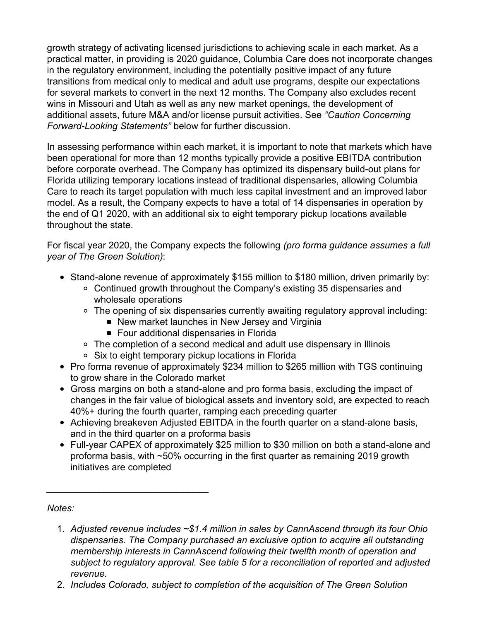growth strategy of activating licensed jurisdictions to achieving scale in each market. As a practical matter, in providing is 2020 guidance, Columbia Care does not incorporate changes in the regulatory environment, including the potentially positive impact of any future transitions from medical only to medical and adult use programs, despite our expectations for several markets to convert in the next 12 months. The Company also excludes recent wins in Missouri and Utah as well as any new market openings, the development of additional assets, future M&A and/or license pursuit activities. See *"Caution Concerning Forward-Looking Statements"* below for further discussion.

In assessing performance within each market, it is important to note that markets which have been operational for more than 12 months typically provide a positive EBITDA contribution before corporate overhead. The Company has optimized its dispensary build-out plans for Florida utilizing temporary locations instead of traditional dispensaries, allowing Columbia Care to reach its target population with much less capital investment and an improved labor model. As a result, the Company expects to have a total of 14 dispensaries in operation by the end of Q1 2020, with an additional six to eight temporary pickup locations available throughout the state.

For fiscal year 2020, the Company expects the following *(pro forma guidance assumes a full year of The Green Solution)*:

- Stand-alone revenue of approximately \$155 million to \$180 million, driven primarily by:
	- Continued growth throughout the Company's existing 35 dispensaries and wholesale operations
	- The opening of six dispensaries currently awaiting regulatory approval including:
		- New market launches in New Jersey and Virginia
		- Four additional dispensaries in Florida
	- The completion of a second medical and adult use dispensary in Illinois
	- Six to eight temporary pickup locations in Florida
- Pro forma revenue of approximately \$234 million to \$265 million with TGS continuing to grow share in the Colorado market
- Gross margins on both a stand-alone and pro forma basis, excluding the impact of changes in the fair value of biological assets and inventory sold, are expected to reach 40%+ during the fourth quarter, ramping each preceding quarter
- Achieving breakeven Adjusted EBITDA in the fourth quarter on a stand-alone basis, and in the third quarter on a proforma basis
- Full-year CAPEX of approximately \$25 million to \$30 million on both a stand-alone and proforma basis, with ~50% occurring in the first quarter as remaining 2019 growth initiatives are completed

*Notes:*

*\_\_\_\_\_\_\_\_\_\_\_\_\_\_\_\_\_\_\_\_\_\_\_\_\_\_\_\_\_\_\_*

- 1. *Adjusted revenue includes ~\$1.4 million in sales by CannAscend through its four Ohio dispensaries. The Company purchased an exclusive option to acquire all outstanding membership interests in CannAscend following their twelfth month of operation and subject to regulatory approval. See table 5 for a reconciliation of reported and adjusted revenue.*
- 2. *Includes Colorado, subject to completion of the acquisition of The Green Solution*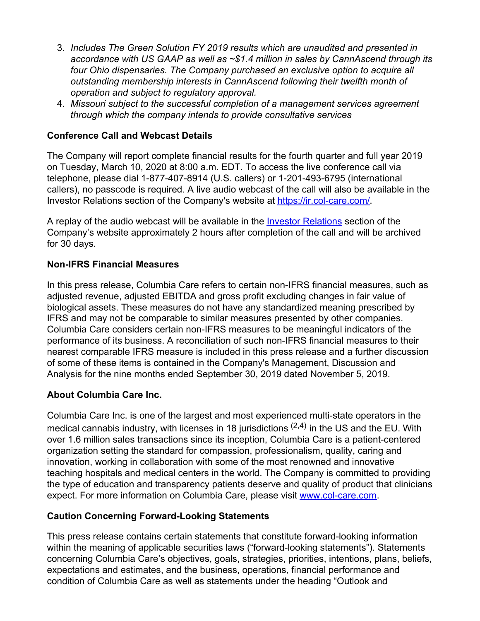- 3. *Includes The Green Solution FY 2019 results which are unaudited and presented in accordance with US GAAP as well as ~\$1.4 million in sales by CannAscend through its four Ohio dispensaries. The Company purchased an exclusive option to acquire all outstanding membership interests in CannAscend following their twelfth month of operation and subject to regulatory approval.*
- 4. *Missouri subject to the successful completion of a management services agreement through which the company intends to provide consultative services*

#### **Conference Call and Webcast Details**

The Company will report complete financial results for the fourth quarter and full year 2019 on Tuesday, March 10, 2020 at 8:00 a.m. EDT. To access the live conference call via telephone, please dial 1-877-407-8914 (U.S. callers) or 1-201-493-6795 (international callers), no passcode is required. A live audio webcast of the call will also be available in the Investor Relations section of the Company's website at [https://ir.col-care.com/.](https://ir.col-care.com/)

A replay of the audio webcast will be available in the Investor [Relations](https://ir.col-care.com/) section of the Company's website approximately 2 hours after completion of the call and will be archived for 30 days.

#### **Non-IFRS Financial Measures**

In this press release, Columbia Care refers to certain non-IFRS financial measures, such as adjusted revenue, adjusted EBITDA and gross profit excluding changes in fair value of biological assets. These measures do not have any standardized meaning prescribed by IFRS and may not be comparable to similar measures presented by other companies. Columbia Care considers certain non-IFRS measures to be meaningful indicators of the performance of its business. A reconciliation of such non-IFRS financial measures to their nearest comparable IFRS measure is included in this press release and a further discussion of some of these items is contained in the Company's Management, Discussion and Analysis for the nine months ended September 30, 2019 dated November 5, 2019.

#### **About Columbia Care Inc.**

Columbia Care Inc. is one of the largest and most experienced multi-state operators in the medical cannabis industry, with licenses in 18 jurisdictions  $^{(2,4)}$  in the US and the EU. With over 1.6 million sales transactions since its inception, Columbia Care is a patient-centered organization setting the standard for compassion, professionalism, quality, caring and innovation, working in collaboration with some of the most renowned and innovative teaching hospitals and medical centers in the world. The Company is committed to providing the type of education and transparency patients deserve and quality of product that clinicians expect. For more information on Columbia Care, please visit [www.col-care.com.](http://www.col-care.com)

# **Caution Concerning Forward-Looking Statements**

This press release contains certain statements that constitute forward-looking information within the meaning of applicable securities laws ("forward-looking statements"). Statements concerning Columbia Care's objectives, goals, strategies, priorities, intentions, plans, beliefs, expectations and estimates, and the business, operations, financial performance and condition of Columbia Care as well as statements under the heading "Outlook and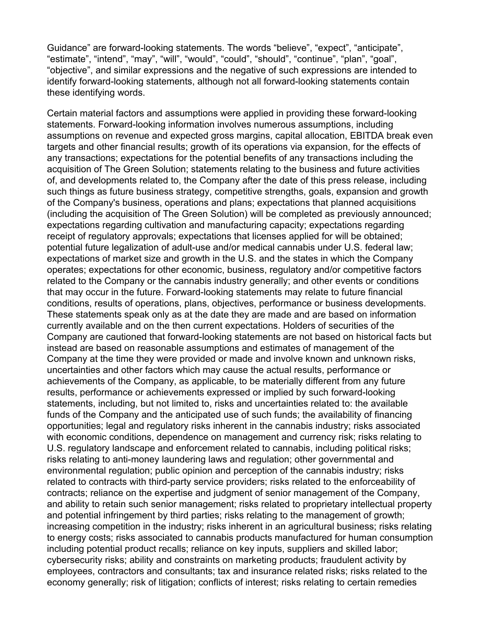Guidance" are forward-looking statements. The words "believe", "expect", "anticipate", "estimate", "intend", "may", "will", "would", "could", "should", "continue", "plan", "goal", "objective", and similar expressions and the negative of such expressions are intended to identify forward-looking statements, although not all forward-looking statements contain these identifying words.

Certain material factors and assumptions were applied in providing these forward-looking statements. Forward-looking information involves numerous assumptions, including assumptions on revenue and expected gross margins, capital allocation, EBITDA break even targets and other financial results; growth of its operations via expansion, for the effects of any transactions; expectations for the potential benefits of any transactions including the acquisition of The Green Solution; statements relating to the business and future activities of, and developments related to, the Company after the date of this press release, including such things as future business strategy, competitive strengths, goals, expansion and growth of the Company's business, operations and plans; expectations that planned acquisitions (including the acquisition of The Green Solution) will be completed as previously announced; expectations regarding cultivation and manufacturing capacity; expectations regarding receipt of regulatory approvals; expectations that licenses applied for will be obtained; potential future legalization of adult-use and/or medical cannabis under U.S. federal law; expectations of market size and growth in the U.S. and the states in which the Company operates; expectations for other economic, business, regulatory and/or competitive factors related to the Company or the cannabis industry generally; and other events or conditions that may occur in the future. Forward-looking statements may relate to future financial conditions, results of operations, plans, objectives, performance or business developments. These statements speak only as at the date they are made and are based on information currently available and on the then current expectations. Holders of securities of the Company are cautioned that forward-looking statements are not based on historical facts but instead are based on reasonable assumptions and estimates of management of the Company at the time they were provided or made and involve known and unknown risks, uncertainties and other factors which may cause the actual results, performance or achievements of the Company, as applicable, to be materially different from any future results, performance or achievements expressed or implied by such forward-looking statements, including, but not limited to, risks and uncertainties related to: the available funds of the Company and the anticipated use of such funds; the availability of financing opportunities; legal and regulatory risks inherent in the cannabis industry; risks associated with economic conditions, dependence on management and currency risk; risks relating to U.S. regulatory landscape and enforcement related to cannabis, including political risks; risks relating to anti-money laundering laws and regulation; other governmental and environmental regulation; public opinion and perception of the cannabis industry; risks related to contracts with third-party service providers; risks related to the enforceability of contracts; reliance on the expertise and judgment of senior management of the Company, and ability to retain such senior management; risks related to proprietary intellectual property and potential infringement by third parties; risks relating to the management of growth; increasing competition in the industry; risks inherent in an agricultural business; risks relating to energy costs; risks associated to cannabis products manufactured for human consumption including potential product recalls; reliance on key inputs, suppliers and skilled labor; cybersecurity risks; ability and constraints on marketing products; fraudulent activity by employees, contractors and consultants; tax and insurance related risks; risks related to the economy generally; risk of litigation; conflicts of interest; risks relating to certain remedies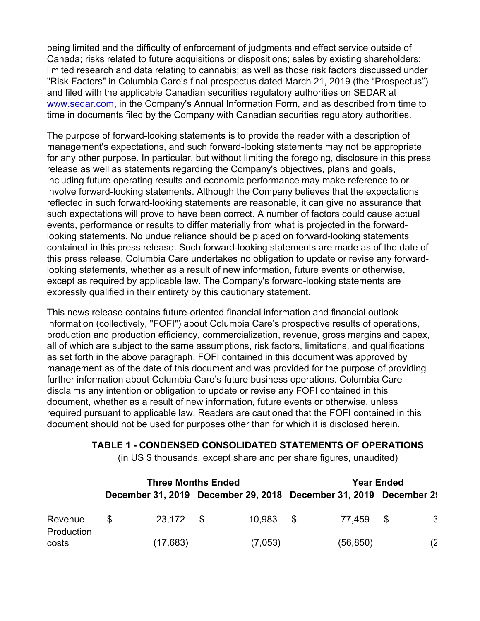being limited and the difficulty of enforcement of judgments and effect service outside of Canada; risks related to future acquisitions or dispositions; sales by existing shareholders; limited research and data relating to cannabis; as well as those risk factors discussed under "Risk Factors" in Columbia Care's final prospectus dated March 21, 2019 (the "Prospectus") and filed with the applicable Canadian securities regulatory authorities on SEDAR at [www.sedar.com,](http://www.sedar.com) in the Company's Annual Information Form, and as described from time to time in documents filed by the Company with Canadian securities regulatory authorities.

The purpose of forward-looking statements is to provide the reader with a description of management's expectations, and such forward-looking statements may not be appropriate for any other purpose. In particular, but without limiting the foregoing, disclosure in this press release as well as statements regarding the Company's objectives, plans and goals, including future operating results and economic performance may make reference to or involve forward-looking statements. Although the Company believes that the expectations reflected in such forward-looking statements are reasonable, it can give no assurance that such expectations will prove to have been correct. A number of factors could cause actual events, performance or results to differ materially from what is projected in the forwardlooking statements. No undue reliance should be placed on forward-looking statements contained in this press release. Such forward-looking statements are made as of the date of this press release. Columbia Care undertakes no obligation to update or revise any forwardlooking statements, whether as a result of new information, future events or otherwise, except as required by applicable law. The Company's forward-looking statements are expressly qualified in their entirety by this cautionary statement.

This news release contains future-oriented financial information and financial outlook information (collectively, "FOFI") about Columbia Care's prospective results of operations, production and production efficiency, commercialization, revenue, gross margins and capex, all of which are subject to the same assumptions, risk factors, limitations, and qualifications as set forth in the above paragraph. FOFI contained in this document was approved by management as of the date of this document and was provided for the purpose of providing further information about Columbia Care's future business operations. Columbia Care disclaims any intention or obligation to update or revise any FOFI contained in this document, whether as a result of new information, future events or otherwise, unless required pursuant to applicable law. Readers are cautioned that the FOFI contained in this document should not be used for purposes other than for which it is disclosed herein.

#### **TABLE 1 - CONDENSED CONSOLIDATED STATEMENTS OF OPERATIONS**

(in US \$ thousands, except share and per share figures, unaudited)

|                       | <b>Three Months Ended</b> |           |                                                                   |             |  | <b>Year Ended</b> |      |  |  |
|-----------------------|---------------------------|-----------|-------------------------------------------------------------------|-------------|--|-------------------|------|--|--|
|                       |                           |           | December 31, 2019 December 29, 2018 December 31, 2019 December 29 |             |  |                   |      |  |  |
| Revenue<br>Production | \$                        | 23,172 \$ |                                                                   | $10,983$ \$ |  | 77.459            | - \$ |  |  |
| costs                 |                           | (17,683)  |                                                                   | (7,053)     |  | (56, 850)         |      |  |  |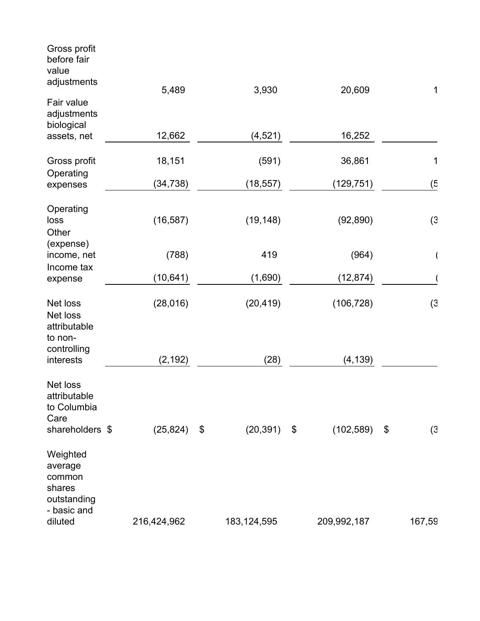| Gross profit<br>before fair<br>value<br>adjustments                   | 5,489       | 3,930           | 20,609           | 1         |
|-----------------------------------------------------------------------|-------------|-----------------|------------------|-----------|
| Fair value<br>adjustments<br>biological                               |             |                 |                  |           |
| assets, net                                                           | 12,662      | (4, 521)        | 16,252           |           |
| Gross profit<br>Operating                                             | 18,151      | (591)           | 36,861           | 1         |
| expenses                                                              | (34, 738)   | (18, 557)       | (129, 751)       | (5)       |
| Operating<br>loss<br>Other                                            | (16, 587)   | (19, 148)       | (92, 890)        | (3)       |
| (expense)<br>income, net<br>Income tax                                | (788)       | 419             | (964)            |           |
| expense                                                               | (10, 641)   | (1,690)         | (12, 874)        |           |
| Net loss<br>Net loss<br>attributable                                  | (28, 016)   | (20, 419)       | (106, 728)       | (3)       |
| to non-<br>controlling<br>interests                                   | (2, 192)    | (28)            | (4, 139)         |           |
| Net loss<br>attributable<br>to Columbia<br>Care<br>shareholders \$    | (25, 824)   | (20, 391)<br>\$ | (102, 589)<br>\$ | (3)<br>\$ |
| Weighted<br>average<br>common<br>shares<br>outstanding<br>- basic and |             |                 |                  |           |
| diluted                                                               | 216,424,962 | 183, 124, 595   | 209,992,187      | 167,59    |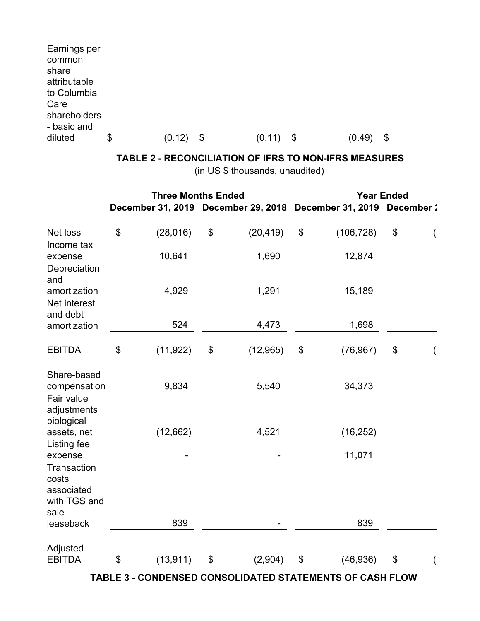| Earnings per |              |              |              |    |
|--------------|--------------|--------------|--------------|----|
| common       |              |              |              |    |
| share        |              |              |              |    |
| attributable |              |              |              |    |
| to Columbia  |              |              |              |    |
| Care         |              |              |              |    |
| shareholders |              |              |              |    |
| - basic and  |              |              |              |    |
| diluted      | \$<br>(0.12) | \$<br>(0.11) | \$<br>(0.49) | \$ |

# **TABLE 2 - RECONCILIATION OF IFRS TO NON-IFRS MEASURES**

(in US \$ thousands, unaudited)

|                                                                       |    | <b>Three Months Ended</b> |                                                                  |           | <b>Year Ended</b>         |            |                           |                        |
|-----------------------------------------------------------------------|----|---------------------------|------------------------------------------------------------------|-----------|---------------------------|------------|---------------------------|------------------------|
|                                                                       |    |                           | December 31, 2019 December 29, 2018 December 31, 2019 December 2 |           |                           |            |                           |                        |
| Net loss<br>Income tax                                                | \$ | (28, 016)                 | \$                                                               | (20, 419) | $\boldsymbol{\mathsf{S}}$ | (106, 728) | $\boldsymbol{\mathsf{S}}$ | $\left( \cdot \right)$ |
| expense<br>Depreciation<br>and                                        |    | 10,641                    |                                                                  | 1,690     |                           | 12,874     |                           |                        |
| amortization<br>Net interest                                          |    | 4,929                     |                                                                  | 1,291     |                           | 15,189     |                           |                        |
| and debt<br>amortization                                              |    | 524                       |                                                                  | 4,473     |                           | 1,698      |                           |                        |
| <b>EBITDA</b>                                                         | \$ | (11, 922)                 | \$                                                               | (12, 965) | $\boldsymbol{\$}$         | (76, 967)  | \$                        | ('                     |
| Share-based<br>compensation<br>Fair value<br>adjustments              |    | 9,834                     |                                                                  | 5,540     |                           | 34,373     |                           |                        |
| biological<br>assets, net<br>Listing fee                              |    | (12,662)                  |                                                                  | 4,521     |                           | (16, 252)  |                           |                        |
| expense<br>Transaction<br>costs<br>associated<br>with TGS and<br>sale |    |                           |                                                                  |           |                           | 11,071     |                           |                        |
| leaseback                                                             |    | 839                       |                                                                  |           |                           | 839        |                           |                        |
| Adjusted<br><b>EBITDA</b>                                             | \$ | (13, 911)                 | \$                                                               | (2,904)   | \$                        | (46, 936)  | \$                        | $\left($               |

**TABLE 3 - CONDENSED CONSOLIDATED STATEMENTS OF CASH FLOW**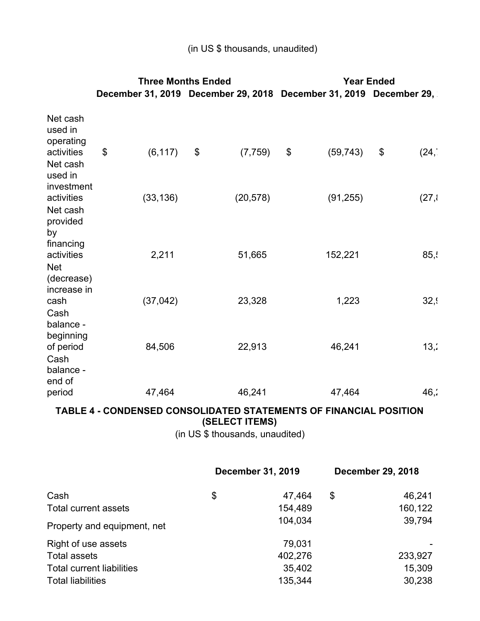#### (in US \$ thousands, unaudited)

|                                                       |                | <b>Three Months Ended</b>                                          |           | <b>Year Ended</b> |           |    |         |
|-------------------------------------------------------|----------------|--------------------------------------------------------------------|-----------|-------------------|-----------|----|---------|
|                                                       |                | December 31, 2019 December 29, 2018 December 31, 2019 December 29, |           |                   |           |    |         |
| Net cash<br>used in<br>operating                      |                |                                                                    |           |                   |           |    |         |
| activities<br>Net cash<br>used in<br>investment       | \$<br>(6, 117) | \$                                                                 | (7, 759)  | \$                | (59, 743) | \$ | (24, 1) |
| activities<br>Net cash<br>provided<br>by<br>financing | (33, 136)      |                                                                    | (20, 578) |                   | (91, 255) |    | (27,1)  |
| activities<br><b>Net</b><br>(decrease)<br>increase in | 2,211          |                                                                    | 51,665    |                   | 152,221   |    | 85,     |
| cash<br>Cash<br>balance -<br>beginning                | (37, 042)      |                                                                    | 23,328    |                   | 1,223     |    | 32,9    |
| of period<br>Cash<br>balance -<br>end of              | 84,506         |                                                                    | 22,913    |                   | 46,241    |    | 13,7    |
| period                                                | 47,464         |                                                                    | 46,241    |                   | 47,464    |    | 46,     |

# **TABLE 4 - CONDENSED CONSOLIDATED STATEMENTS OF FINANCIAL POSITION (SELECT ITEMS)**

(in US \$ thousands, unaudited)

|                                  | <b>December 31, 2019</b> |         | <b>December 29, 2018</b> |         |  |
|----------------------------------|--------------------------|---------|--------------------------|---------|--|
| Cash                             | \$                       | 47,464  | \$                       | 46,241  |  |
| Total current assets             |                          | 154,489 |                          | 160,122 |  |
| Property and equipment, net      |                          | 104,034 |                          | 39,794  |  |
| Right of use assets              |                          | 79,031  |                          |         |  |
| <b>Total assets</b>              |                          | 402,276 |                          | 233,927 |  |
| <b>Total current liabilities</b> |                          | 35,402  |                          | 15,309  |  |
| <b>Total liabilities</b>         |                          | 135,344 |                          | 30,238  |  |